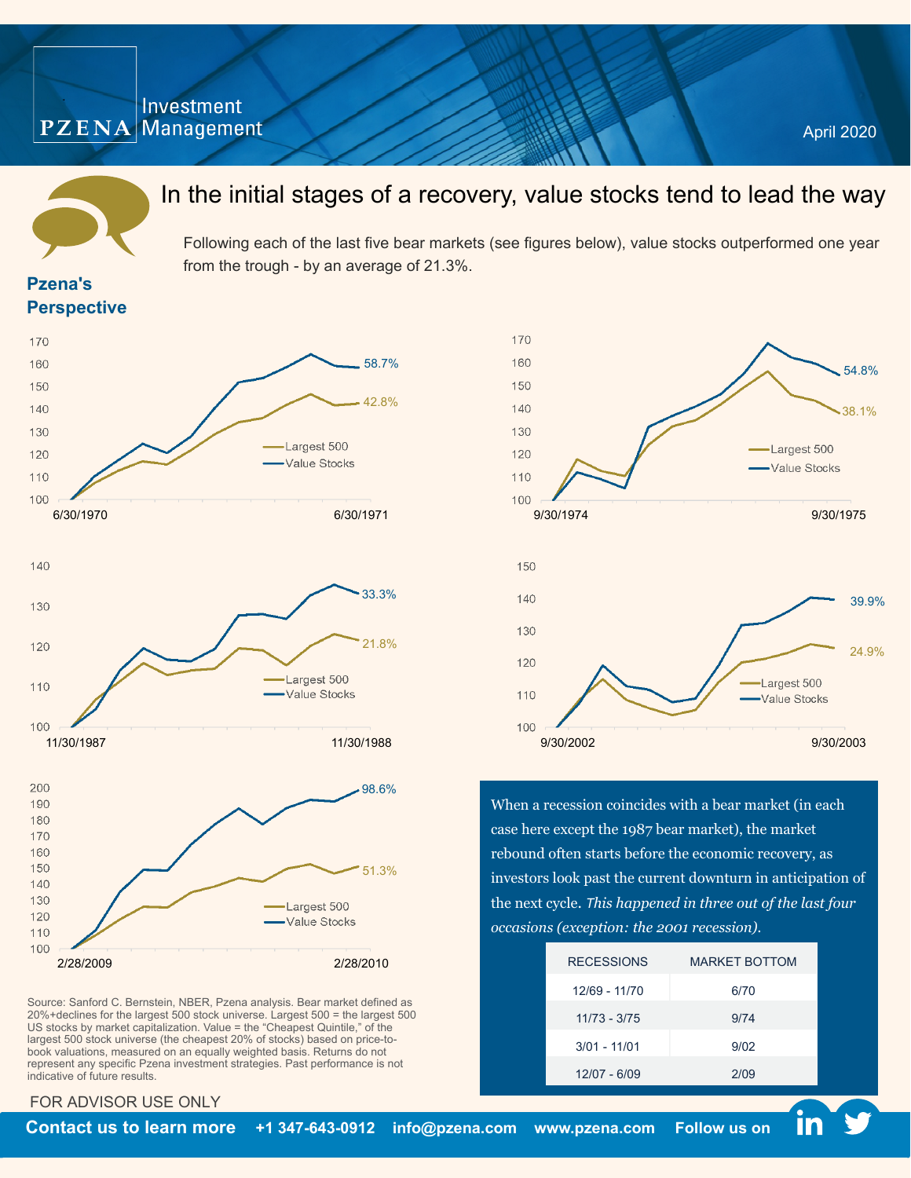## Investment  $PZENA$  Management



# In the initial stages of a recovery, value stocks tend to lead the way

Following each of the last five bear markets (see figures below), value stocks outperformed one year from the trough - by an average of 21.3%.

### **Pzena's Perspective**





Source: Sanford C. Bernstein, NBER, Pzena analysis. Bear market defined as 20%+declines for the largest 500 stock universe. Largest 500 = the largest 500 US stocks by market capitalization. Value = the "Cheapest Quintile," of the largest 500 stock universe (the cheapest 20% of stocks) based on price-tobook valuations, measured on an equally weighted basis. Returns do not represent any specific Pzena investment strategies. Past performance is not indicative of future results.



When a recession coincides with a bear market (in each case here except the 1987 bear market), the market rebound often starts before the economic recovery, as investors look past the current downturn in anticipation of the next cycle. *This happened in three out of the last four occasions (exception: the 2001 recession).*

| <b>RECESSIONS</b> | <b>MARKET BOTTOM</b> |
|-------------------|----------------------|
| 12/69 - 11/70     | 6/70                 |
| $11/73 - 3/75$    | 9/74                 |
| $3/01 - 11/01$    | 9/02                 |
| 12/07 - 6/09      | 2/09                 |

### FOR ADVISOR USE ONLY

in